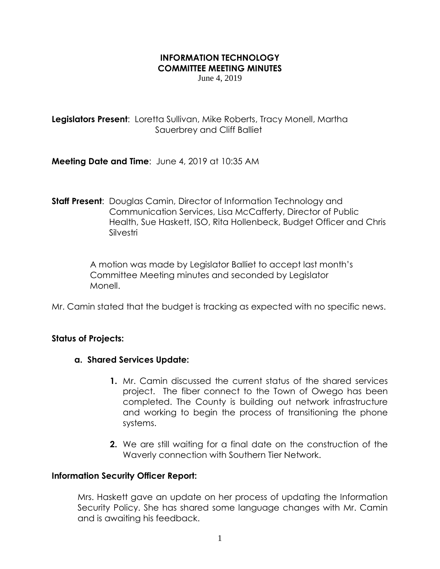# **INFORMATION TECHNOLOGY COMMITTEE MEETING MINUTES**

June 4, 2019

**Legislators Present**: Loretta Sullivan, Mike Roberts, Tracy Monell, Martha Sauerbrey and Cliff Balliet

**Meeting Date and Time**: June 4, 2019 at 10:35 AM

**Staff Present**: Douglas Camin, Director of Information Technology and Communication Services, Lisa McCafferty, Director of Public Health, Sue Haskett, ISO, Rita Hollenbeck, Budget Officer and Chris Silvestri

> A motion was made by Legislator Balliet to accept last month's Committee Meeting minutes and seconded by Legislator Monell.

Mr. Camin stated that the budget is tracking as expected with no specific news.

## **Status of Projects:**

## **a. Shared Services Update:**

- **1.** Mr. Camin discussed the current status of the shared services project. The fiber connect to the Town of Owego has been completed. The County is building out network infrastructure and working to begin the process of transitioning the phone systems.
- **2.** We are still waiting for a final date on the construction of the Waverly connection with Southern Tier Network.

#### **Information Security Officer Report:**

Mrs. Haskett gave an update on her process of updating the Information Security Policy. She has shared some language changes with Mr. Camin and is awaiting his feedback.